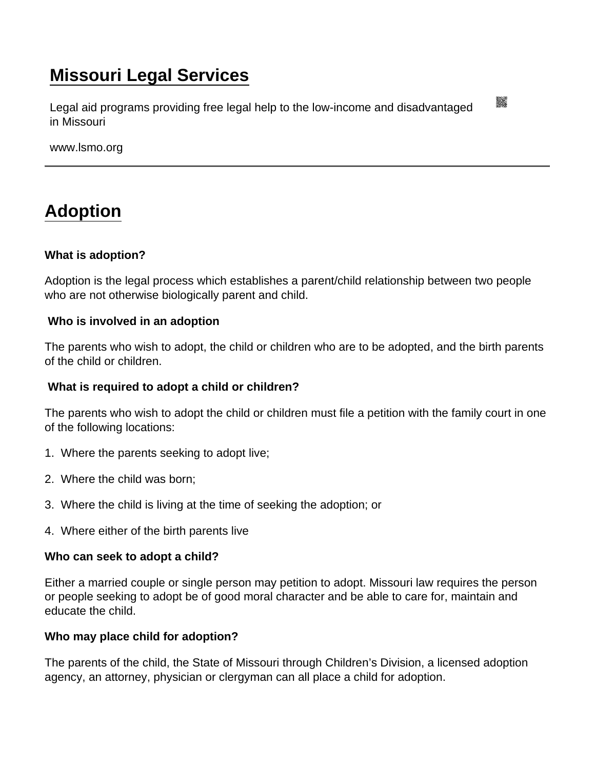# [Missouri Legal Services](https://www.lsmo.org/)

Legal aid programs providing free legal help to the low-income and disadvantaged in Missouri

www.lsmo.org

# [Adoption](https://www.lsmo.org/node/636/adoption)

What is adoption?

Adoption is the legal process which establishes a parent/child relationship between two people who are not otherwise biologically parent and child.

Who is involved in an adoption

The parents who wish to adopt, the child or children who are to be adopted, and the birth parents of the child or children.

What is required to adopt a child or children?

The parents who wish to adopt the child or children must file a petition with the family court in one of the following locations:

- 1. Where the parents seeking to adopt live;
- 2. Where the child was born;
- 3. Where the child is living at the time of seeking the adoption; or
- 4. Where either of the birth parents live

Who can seek to adopt a child?

Either a married couple or single person may petition to adopt. Missouri law requires the person or people seeking to adopt be of good moral character and be able to care for, maintain and educate the child.

Who may place child for adoption?

The parents of the child, the State of Missouri through Children's Division, a licensed adoption agency, an attorney, physician or clergyman can all place a child for adoption.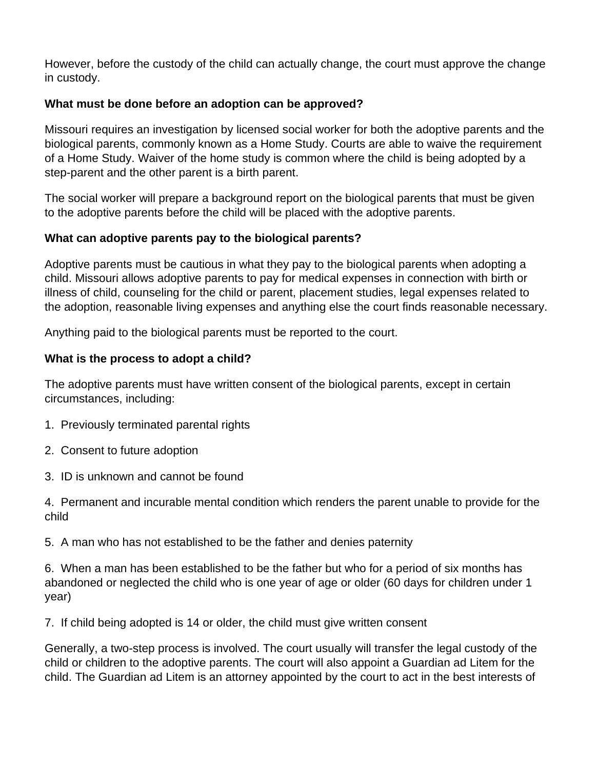However, before the custody of the child can actually change, the court must approve the change in custody.

### **What must be done before an adoption can be approved?**

Missouri requires an investigation by licensed social worker for both the adoptive parents and the biological parents, commonly known as a Home Study. Courts are able to waive the requirement of a Home Study. Waiver of the home study is common where the child is being adopted by a step-parent and the other parent is a birth parent.

The social worker will prepare a background report on the biological parents that must be given to the adoptive parents before the child will be placed with the adoptive parents.

## **What can adoptive parents pay to the biological parents?**

Adoptive parents must be cautious in what they pay to the biological parents when adopting a child. Missouri allows adoptive parents to pay for medical expenses in connection with birth or illness of child, counseling for the child or parent, placement studies, legal expenses related to the adoption, reasonable living expenses and anything else the court finds reasonable necessary.

Anything paid to the biological parents must be reported to the court.

### **What is the process to adopt a child?**

The adoptive parents must have written consent of the biological parents, except in certain circumstances, including:

- 1. Previously terminated parental rights
- 2. Consent to future adoption
- 3. ID is unknown and cannot be found

4. Permanent and incurable mental condition which renders the parent unable to provide for the child

5. A man who has not established to be the father and denies paternity

6. When a man has been established to be the father but who for a period of six months has abandoned or neglected the child who is one year of age or older (60 days for children under 1 year)

7. If child being adopted is 14 or older, the child must give written consent

Generally, a two-step process is involved. The court usually will transfer the legal custody of the child or children to the adoptive parents. The court will also appoint a Guardian ad Litem for the child. The Guardian ad Litem is an attorney appointed by the court to act in the best interests of